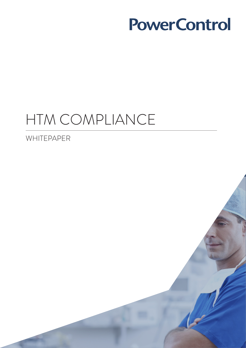# HTM COMPLIANCE

WHITEPAPER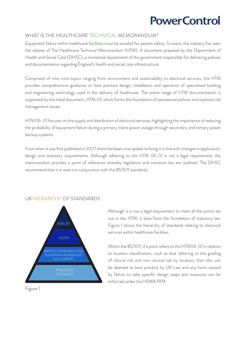#### WHAT IS THE HEALTHCARE TECHNICAL MEMORANDUM?

Equipment failure within healthcare facilities must be avoided for patient safety. To assist, the industry has seen the release of The Healthcare Technical Memorandum (HTM). A document prepared by the Department of Health and Social Care (DHSC), a ministerial department of the government responsible for delivering policies and documentation regarding England's health and social care infrastructure.

Comprised of nine core topics ranging from environment and sustainability to electrical services, the HTM provides comprehensive guidance on best practice design, installation and operation of specialised building and engineering technology used in the delivery of healthcare. The entire range of HTM documentation is supported by the initial document, HTM 00 which forms the foundation of operational policies and explores risk management issues.

HTM 06-01 focuses on the supply and distribution of electrical services, highlighting the importance of reducing the probability of equipment failure during a primary mains power outage through secondary and tertiary power backup systems.

From when it was first published in 2007 there has been one update to bring it in line with changes in application, design and statutory requirements. Although adhering to the HTM 06-01 is not a legal requirement, the memorandum provides a point of reference whereby legislation and common law are outlined. The DHSC recommend that it is read it in conjunction with the BS7671 standards.

#### UK HIERARCHY OF STANDARDS



Figure 1

Although it is not a legal requirement to meet all the points set out in the HTM, it does form the foundation of statutory law. Figure 1 shows the hierarchy of standards relating to electrical services within healthcare facilities.

Within the BS7671, if a point refers to the HTM06-01 in relation to location classification, such as that referring to the grading of clinical risk and non-clinical risk by location, then this can be deemed as best practice by UK Law and any harm caused by failure to take specific design steps and measures can be enforced under the HSWA 1974.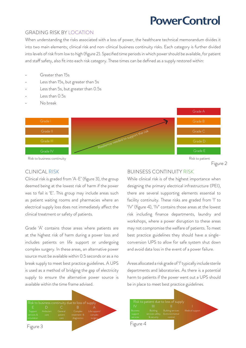#### GRADING RISK BY LOCATION

When understanding the risks associated with a loss of power, the healthcare technical memorandum divides it into two main elements; clinical risk and non-clinical business continuity risks. Each category is further divided into levels of risk from low to high (figure 2). Specified time periods in which power should be available, for patient and staff safety, also fit into each risk category. These times can be defined as a supply restored within:

- Greater than 15s
- Less than 15s, but greater than 5s
- Less than 5s, but greater than 0.5s
- Less than 0.5s
- No break



Figure 2

#### CLINICAL RISK

Clinical risk is graded from 'A-E' (figure 3), the group deemed being at the lowest risk of harm if the power was to fail is 'E'. This group may include areas such as patient waiting rooms and pharmacies where an electrical supply loss does not immediately affect the clinical treatment or safety of patients.

Grade 'A' contains those areas where patients are at the highest risk of harm during a power loss and includes patients on life support or undergoing complex surgery. In these areas, an alternative power source must be available within 0.5 seconds or as a no break supply to meet best practice guidelines. A UPS is used as a method of bridging the gap of electricity supply to ensure the alternative power source is available within the time frame advised.



#### BUINSESS CONTINUITY RISK

While clinical risk is of the highest importance when designing the primary electrical infrastructure (PEI), there are several supporting elements essential to facility continuity. These risks are graded from 'I' to 'IV' (figure 4), 'IV' contains those areas at the lowest risk including finance departments, laundry and workshops, where a power disruption to these areas may not compromise the welfare of patients. To meet best practice guidelines they should have a singleconversion UPS to allow for safe system shut down and avoid data loss in the event of a power failure.

Areas allocated a risk grade of 'I' typically include sterile departments and laboratories. As there is a potential harm to patients if the power went out a UPS should be in place to meet best practice guidelines.

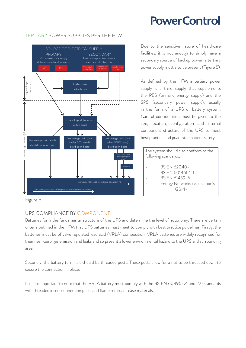

#### TERTIARY POWER SUPPLIES PER THE HTM

Due to the sensitive nature of healthcare facilities, it is not enough to simply have a secondary source of backup power, a tertiary power supply must also be present (Figure 5)

As defined by the HTM a tertiary power supply is a third supply that supplements the PES (primary energy supply) and the SPS (secondary power supply), usually in the form of a UPS or battery system. Careful consideration must be given to the size, location, configuration and internal component structure of the UPS to meet best practice and guarantee patient safety.

The system should also conform to the following standards:

- BS EN 62040-1
	- BS EN 601461-1-1
- BS EN 61439-6
- Energy Networks Association's G514-1

### Figure 5

### UPS COMPLIANCE BY COMPONENT

Batteries form the fundamental structure of the UPS and determine the level of autonomy. There are certain criteria outlined in the HTM that UPS batteries must meet to comply with best practice guidelines. Firstly, the batteries must be of valve regulated lead acid (VRLA) composition. VRLA batteries are widely recognised for their near-zero gas emission and leaks and so present a lower environmental hazard to the UPS and surrounding area.

Secondly, the battery terminals should be threaded posts. These posts allow for a nut to be threaded down to secure the connection in place.

It is also important to note that the VRLA battery must comply with the BS EN 60896 (21 and 22) standards with threaded insert connection posts and flame retardant case materials.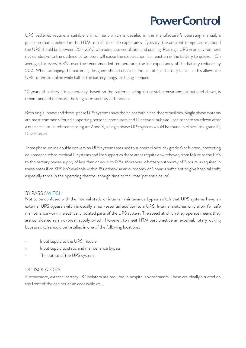UPS batteries require a suitable environment which is detailed in the manufacturer's operating manual, a guideline that is echoed in the HTM to fulfil their life expectancy. Typically, the ambient temperature around the UPS should be between 20 - 25<sup>°</sup>C with adequate ventilation and cooling. Placing a UPS in an environment not conducive to the outlined parameters will cause the electrochemical reaction in the battery to quicken. On average, for every  $8.3^{\circ}$ C over the recommended temperature, the life expectancy of the battery reduces by 50%. When arranging the batteries, designers should consider the use of split battery banks as this allows the UPS to remain online while half of the battery stings are being serviced.

10 years of battery life expectancy, based on the batteries being in the stable environment outlined above, is recommended to ensure the long term security of function.

Both single-phase and three-phase UPS systems have their place within healthcare facilities. Single phase systems are most commonly found supporting personal computers and IT network hubs ad used for safe shutdown after a mains failure. In reference to figure 2 and 3, a single phase UPS system would be found in clinical risk grade C, D or E areas.

Three phase, online double conversion UPS systems are used to support clinical risk grade A or B areas, protecting equipment such as medical IT systems and life support as these areas require a switchover, from failure to the PES to the tertiary power supply of less than or equal to 0.5s. Moreover, a battery autonomy of 3 hours is required in these areas if an SPS isn't available within 15s otherwise an autonomy of 1 hour is sufficient to give hospital staff, especially those in the operating theatre, enough time to facilitate 'patient closure'.

#### BYPASS SWITCH

Not to be confused with the internal static or internal maintenance bypass switch that UPS systems have, an external UPS bypass switch is usually a non-essential addition to a UPS. Internal switches only allow for safe maintenance work in electrically isolated parts of the UPS system. The speed at which they operate means they are considered as a no-break supply switch. However, to meet HTM best practice an external, rotary locking bypass switch should be installed in one of the following locations:

- Input supply to the UPS module
- Input supply to static and maintenance bypass
- The output of the UPS system

#### DC ISOLATORS

Furthermore, external battery DC isolators are required in hospital environments. These are ideally situated on the front of the cabinet or an accessible wall.